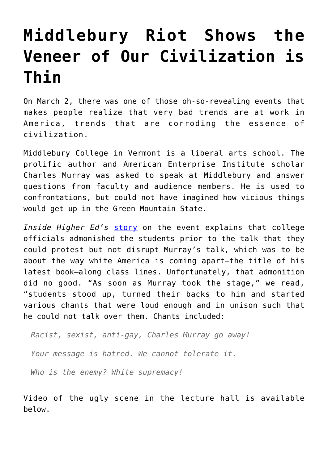## **[Middlebury Riot Shows the](https://intellectualtakeout.org/2017/03/middlebury-riot-shows-the-veneer-of-our-civilization-is-thin/) [Veneer of Our Civilization is](https://intellectualtakeout.org/2017/03/middlebury-riot-shows-the-veneer-of-our-civilization-is-thin/) [Thin](https://intellectualtakeout.org/2017/03/middlebury-riot-shows-the-veneer-of-our-civilization-is-thin/)**

On March 2, there was one of those oh-so-revealing events that makes people realize that very bad trends are at work in America, trends that are corroding the essence of civilization.

Middlebury College in Vermont is a liberal arts school. The prolific author and American Enterprise Institute scholar Charles Murray was asked to speak at Middlebury and answer questions from faculty and audience members. He is used to confrontations, but could not have imagined how vicious things would get up in the Green Mountain State.

*Inside Higher Ed's* [story](https://www.insidehighered.com/news/2017/03/03/middlebury-students-shout-down-lecture-charles-murray?utm_source=inside+higher+ed&utm_campaign=87fb62384d-dnu20170303&utm_medium=email&utm_term=0_1fcbc04421-87fb62384d-197414985&mc_cid=87fb62384d&mc_eid=1ab0ee503b) on the event explains that college officials admonished the students prior to the talk that they could protest but not disrupt Murray's talk, which was to be about the way white America is coming apart—the title of his latest book—along class lines. Unfortunately, that admonition did no good. "As soon as Murray took the stage," we read, "students stood up, turned their backs to him and started various chants that were loud enough and in unison such that he could not talk over them. Chants included:

*Racist, sexist, anti-gay, Charles Murray go away!*

*Your message is hatred. We cannot tolerate it.*

*Who is the enemy? White supremacy!*

Video of the ugly scene in the lecture hall is available below.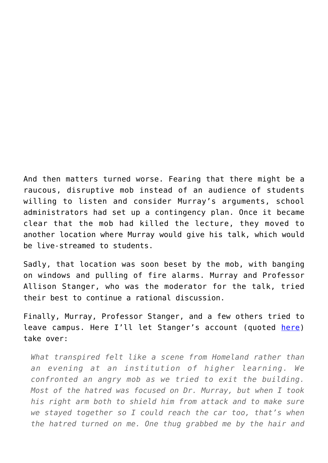And then matters turned worse. Fearing that there might be a raucous, disruptive mob instead of an audience of students willing to listen and consider Murray's arguments, school administrators had set up a contingency plan. Once it became clear that the mob had killed the lecture, they moved to another location where Murray would give his talk, which would be live-streamed to students.

Sadly, that location was soon beset by the mob, with banging on windows and pulling of fire alarms. Murray and Professor Allison Stanger, who was the moderator for the talk, tried their best to continue a rational discussion.

Finally, Murray, Professor Stanger, and a few others tried to leave campus. Here I'll let Stanger's account (quoted [here\)](http://www.theamericanconservative.com/dreher/the-madness-at-middlebury/) take over:

*What transpired felt like a scene from Homeland rather than an evening at an institution of higher learning. We confronted an angry mob as we tried to exit the building. Most of the hatred was focused on Dr. Murray, but when I took his right arm both to shield him from attack and to make sure we stayed together so I could reach the car too, that's when the hatred turned on me. One thug grabbed me by the hair and*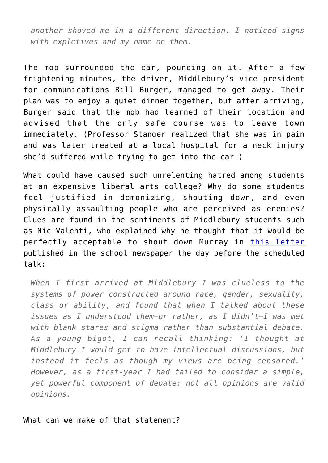*another shoved me in a different direction. I noticed signs with expletives and my name on them.*

The mob surrounded the car, pounding on it. After a few frightening minutes, the driver, Middlebury's vice president for communications Bill Burger, managed to get away. Their plan was to enjoy a quiet dinner together, but after arriving, Burger said that the mob had learned of their location and advised that the only safe course was to leave town immediately. (Professor Stanger realized that she was in pain and was later treated at a local hospital for a neck injury she'd suffered while trying to get into the car.)

What could have caused such unrelenting hatred among students at an expensive liberal arts college? Why do some students feel justified in demonizing, shouting down, and even physically assaulting people who are perceived as enemies? Clues are found in the sentiments of Middlebury students such as Nic Valenti, who explained why he thought that it would be perfectly acceptable to shout down Murray in [this letter](https://middleburycampus.com/article/why-im-declining-aeis-invitation-to-argue/) published in the school newspaper the day before the scheduled talk:

*When I first arrived at Middlebury I was clueless to the systems of power constructed around race, gender, sexuality, class or ability, and found that when I talked about these issues as I understood them—or rather, as I didn't—I was met with blank stares and stigma rather than substantial debate. As a young bigot, I can recall thinking: 'I thought at Middlebury I would get to have intellectual discussions, but instead it feels as though my views are being censored.' However, as a first-year I had failed to consider a simple, yet powerful component of debate: not all opinions are valid opinions.*

What can we make of that statement?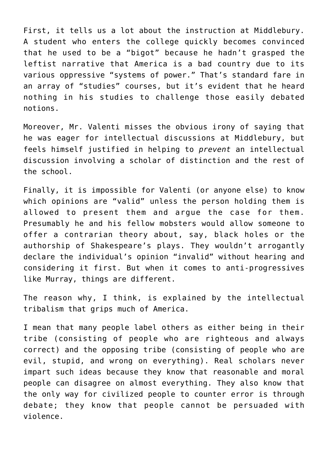First, it tells us a lot about the instruction at Middlebury. A student who enters the college quickly becomes convinced that he used to be a "bigot" because he hadn't grasped the leftist narrative that America is a bad country due to its various oppressive "systems of power." That's standard fare in an array of "studies" courses, but it's evident that he heard nothing in his studies to challenge those easily debated notions.

Moreover, Mr. Valenti misses the obvious irony of saying that he was eager for intellectual discussions at Middlebury, but feels himself justified in helping to *prevent* an intellectual discussion involving a scholar of distinction and the rest of the school.

Finally, it is impossible for Valenti (or anyone else) to know which opinions are "valid" unless the person holding them is allowed to present them and argue the case for them. Presumably he and his fellow mobsters would allow someone to offer a contrarian theory about, say, black holes or the authorship of Shakespeare's plays. They wouldn't arrogantly declare the individual's opinion "invalid" without hearing and considering it first. But when it comes to anti-progressives like Murray, things are different.

The reason why, I think, is explained by the intellectual tribalism that grips much of America.

I mean that many people label others as either being in their tribe (consisting of people who are righteous and always correct) and the opposing tribe (consisting of people who are evil, stupid, and wrong on everything). Real scholars never impart such ideas because they know that reasonable and moral people can disagree on almost everything. They also know that the only way for civilized people to counter error is through debate; they know that people cannot be persuaded with violence.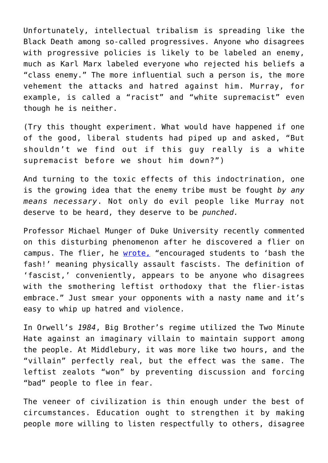Unfortunately, intellectual tribalism is spreading like the Black Death among so-called progressives. Anyone who disagrees with progressive policies is likely to be labeled an enemy, much as Karl Marx labeled everyone who rejected his beliefs a "class enemy." The more influential such a person is, the more vehement the attacks and hatred against him. Murray, for example, is called a "racist" and "white supremacist" even though he is neither.

(Try this thought experiment. What would have happened if one of the good, liberal students had piped up and asked, "But shouldn't we find out if this guy really is a white supremacist before we shout him down?")

And turning to the toxic effects of this indoctrination, one is the growing idea that the enemy tribe must be fought *by any means necessary*. Not only do evil people like Murray not deserve to be heard, they deserve to be *punched.*

Professor Michael Munger of Duke University recently commented on this disturbing phenomenon after he discovered a flier on campus. The flier, he [wrote,](http://www.independent.org/newsroom/article.asp?id=9006) "encouraged students to 'bash the fash!' meaning physically assault fascists. The definition of 'fascist,' conveniently, appears to be anyone who disagrees with the smothering leftist orthodoxy that the flier-istas embrace." Just smear your opponents with a nasty name and it's easy to whip up hatred and violence.

In Orwell's *1984*, Big Brother's regime utilized the Two Minute Hate against an imaginary villain to maintain support among the people. At Middlebury, it was more like two hours, and the "villain" perfectly real, but the effect was the same. The leftist zealots "won" by preventing discussion and forcing "bad" people to flee in fear.

The veneer of civilization is thin enough under the best of circumstances. Education ought to strengthen it by making people more willing to listen respectfully to others, disagree